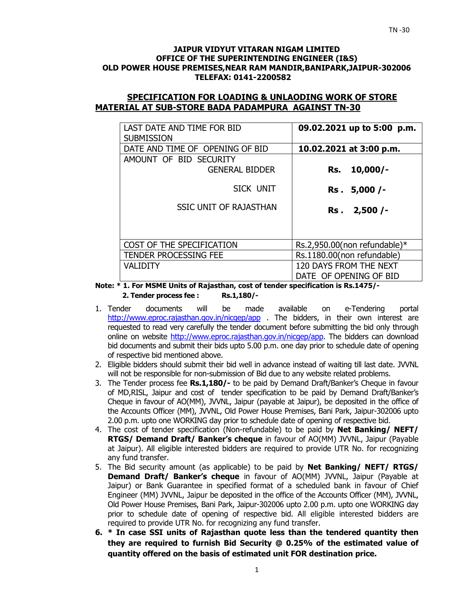#### **JAIPUR VIDYUT VITARAN NIGAM LIMITED OFFICE OF THE SUPERINTENDING ENGINEER (I&S) OLD POWER HOUSE PREMISES,NEAR RAM MANDIR,BANIPARK,JAIPUR-302006 TELEFAX: 0141-2200582**

### **SPECIFICATION FOR LOADING & UNLAODING WORK OF STORE MATERIAL AT SUB-STORE BADA PADAMPURA AGAINST TN-30**

| LAST DATE AND TIME FOR BID<br><b>SUBMISSION</b> | 09.02.2021 up to 5:00 p.m.      |
|-------------------------------------------------|---------------------------------|
| DATE AND TIME OF OPENING OF BID                 | 10.02.2021 at 3:00 p.m.         |
| AMOUNT OF BID SECURITY                          |                                 |
| <b>GENERAL BIDDER</b>                           | $10,000/-$<br>Rs.               |
| SICK UNIT                                       | Rs. 5,000 /-                    |
| <b>SSIC UNIT OF RAJASTHAN</b>                   | Rs. 2,500 /-                    |
|                                                 |                                 |
| COST OF THE SPECIFICATION                       | Rs.2,950.00(non refundable) $*$ |
| <b>TENDER PROCESSING FEE</b>                    | Rs.1180.00(non refundable)      |
| <b>VALIDITY</b>                                 | 120 DAYS FROM THE NEXT          |
|                                                 | DATE OF OPENING OF BID          |

**Note: \* 1. For MSME Units of Rajasthan, cost of tender specification is Rs.1475/- 2. Tender process fee : Rs.1,180/-** 

- 1. Tender documents will be made available on e-Tendering portal http://www.eproc.rajasthan.gov.in/nicgep/app . The bidders, in their own interest are requested to read very carefully the tender document before submitting the bid only through online on website http://www.eproc.rajasthan.gov.in/nicgep/app. The bidders can download bid documents and submit their bids upto 5.00 p.m. one day prior to schedule date of opening of respective bid mentioned above.
- 2. Eligible bidders should submit their bid well in advance instead of waiting till last date. JVVNL will not be responsible for non-submission of Bid due to any website related problems.
- 3. The Tender process fee **Rs.1,180/-** to be paid by Demand Draft/Banker's Cheque in favour of MD,RISL, Jaipur and cost of tender specification to be paid by Demand Draft/Banker's Cheque in favour of AO(MM), JVVNL, Jaipur (payable at Jaipur), be deposited in the office of the Accounts Officer (MM), JVVNL, Old Power House Premises, Bani Park, Jaipur-302006 upto 2.00 p.m. upto one WORKING day prior to schedule date of opening of respective bid.
- 4. The cost of tender specification (Non-refundable) to be paid by **Net Banking/ NEFT/ RTGS/ Demand Draft/ Banker's cheque** in favour of AO(MM) JVVNL, Jaipur (Payable at Jaipur). All eligible interested bidders are required to provide UTR No. for recognizing any fund transfer.
- 5. The Bid security amount (as applicable) to be paid by **Net Banking/ NEFT/ RTGS/ Demand Draft/ Banker's cheque** in favour of AO(MM) JVVNL, Jaipur (Payable at Jaipur) or Bank Guarantee in specified format of a scheduled bank in favour of Chief Engineer (MM) JVVNL, Jaipur be deposited in the office of the Accounts Officer (MM), JVVNL, Old Power House Premises, Bani Park, Jaipur-302006 upto 2.00 p.m. upto one WORKING day prior to schedule date of opening of respective bid. All eligible interested bidders are required to provide UTR No. for recognizing any fund transfer.
- **6. \* In case SSI units of Rajasthan quote less than the tendered quantity then they are required to furnish Bid Security @ 0.25% of the estimated value of quantity offered on the basis of estimated unit FOR destination price.**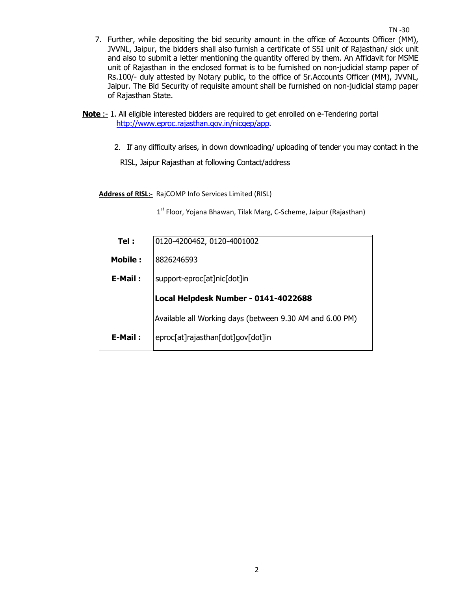- 7. Further, while depositing the bid security amount in the office of Accounts Officer (MM), JVVNL, Jaipur, the bidders shall also furnish a certificate of SSI unit of Rajasthan/ sick unit and also to submit a letter mentioning the quantity offered by them. An Affidavit for MSME unit of Rajasthan in the enclosed format is to be furnished on non-judicial stamp paper of Rs.100/- duly attested by Notary public, to the office of Sr.Accounts Officer (MM), JVVNL, Jaipur. The Bid Security of requisite amount shall be furnished on non-judicial stamp paper of Rajasthan State.
- **Note :** 1. All eligible interested bidders are required to get enrolled on e-Tendering portal http://www.eproc.rajasthan.gov.in/nicgep/app.
	- 2.If any difficulty arises, in down downloading/ uploading of tender you may contact in the

RISL, Jaipur Rajasthan at following Contact/address

**Address of RISL:-** RajCOMP Info Services Limited (RISL)

1<sup>st</sup> Floor, Yojana Bhawan, Tilak Marg, C-Scheme, Jaipur (Rajasthan)

| Tel :          | 0120-4200462, 0120-4001002                               |
|----------------|----------------------------------------------------------|
| <b>Mobile:</b> | 8826246593                                               |
| E-Mail:        | support-eproc[at]nic[dot]in                              |
|                | Local Helpdesk Number - 0141-4022688                     |
|                |                                                          |
|                | Available all Working days (between 9.30 AM and 6.00 PM) |
| E-Mail:        | eproc[at]rajasthan[dot]gov[dot]in                        |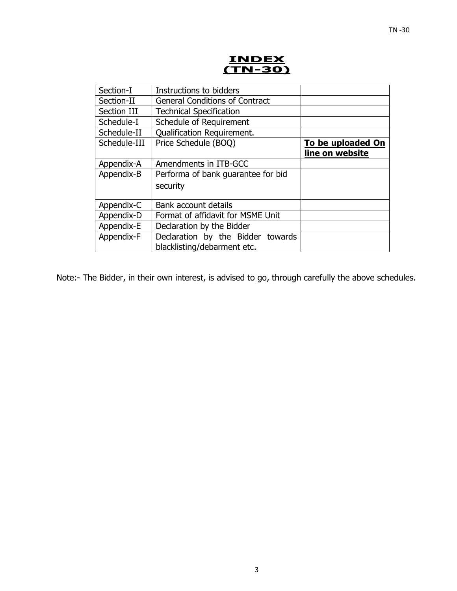

| Section-I    | Instructions to bidders               |                   |
|--------------|---------------------------------------|-------------------|
| Section-II   | <b>General Conditions of Contract</b> |                   |
| Section III  | <b>Technical Specification</b>        |                   |
| Schedule-I   | Schedule of Requirement               |                   |
| Schedule-II  | Qualification Requirement.            |                   |
| Schedule-III | Price Schedule (BOQ)                  | To be uploaded On |
|              |                                       | line on website   |
| Appendix-A   | Amendments in ITB-GCC                 |                   |
| Appendix-B   | Performa of bank guarantee for bid    |                   |
|              | security                              |                   |
|              |                                       |                   |
| Appendix-C   | Bank account details                  |                   |
| Appendix-D   | Format of affidavit for MSME Unit     |                   |
| Appendix-E   | Declaration by the Bidder             |                   |
| Appendix-F   | Declaration by the Bidder towards     |                   |
|              | blacklisting/debarment etc.           |                   |

Note:- The Bidder, in their own interest, is advised to go, through carefully the above schedules.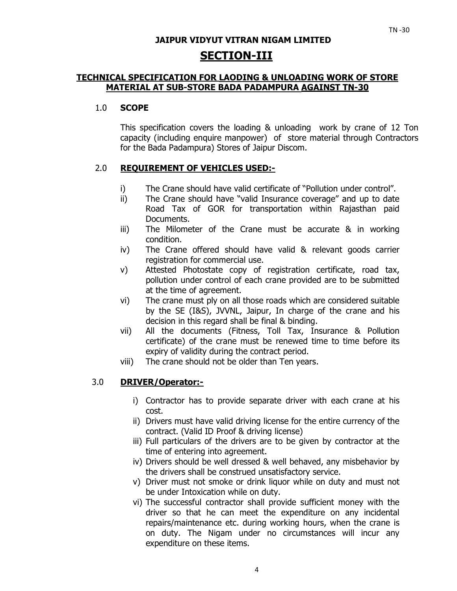# **JAIPUR VIDYUT VITRAN NIGAM LIMITED SECTION-III**

### **TECHNICAL SPECIFICATION FOR LAODING & UNLOADING WORK OF STORE MATERIAL AT SUB-STORE BADA PADAMPURA AGAINST TN-30**

### 1.0 **SCOPE**

This specification covers the loading & unloading work by crane of 12 Ton capacity (including enquire manpower) of store material through Contractors for the Bada Padampura) Stores of Jaipur Discom.

## 2.0 **REQUIREMENT OF VEHICLES USED:-**

- i) The Crane should have valid certificate of "Pollution under control".
- ii) The Crane should have "valid Insurance coverage" and up to date Road Tax of GOR for transportation within Rajasthan paid Documents.
- iii) The Milometer of the Crane must be accurate & in working condition.
- iv) The Crane offered should have valid & relevant goods carrier registration for commercial use.
- v) Attested Photostate copy of registration certificate, road tax, pollution under control of each crane provided are to be submitted at the time of agreement.
- vi) The crane must ply on all those roads which are considered suitable by the SE (I&S), JVVNL, Jaipur, In charge of the crane and his decision in this regard shall be final & binding.
- vii) All the documents (Fitness, Toll Tax, Insurance & Pollution certificate) of the crane must be renewed time to time before its expiry of validity during the contract period.
- viii) The crane should not be older than Ten years.

### 3.0 **DRIVER/Operator:-**

- i) Contractor has to provide separate driver with each crane at his cost.
- ii) Drivers must have valid driving license for the entire currency of the contract. (Valid ID Proof & driving license)
- iii) Full particulars of the drivers are to be given by contractor at the time of entering into agreement.
- iv) Drivers should be well dressed & well behaved, any misbehavior by the drivers shall be construed unsatisfactory service.
- v) Driver must not smoke or drink liquor while on duty and must not be under Intoxication while on duty.
- vi) The successful contractor shall provide sufficient money with the driver so that he can meet the expenditure on any incidental repairs/maintenance etc. during working hours, when the crane is on duty. The Nigam under no circumstances will incur any expenditure on these items.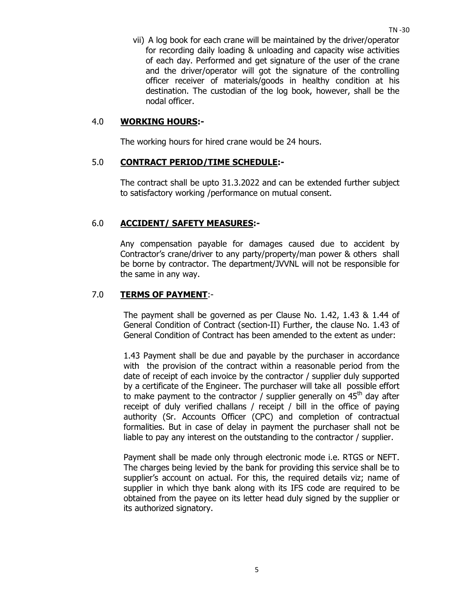vii) A log book for each crane will be maintained by the driver/operator for recording daily loading & unloading and capacity wise activities of each day. Performed and get signature of the user of the crane and the driver/operator will got the signature of the controlling officer receiver of materials/goods in healthy condition at his destination. The custodian of the log book, however, shall be the nodal officer.

#### 4.0 **WORKING HOURS:-**

The working hours for hired crane would be 24 hours.

#### 5.0 **CONTRACT PERIOD/TIME SCHEDULE:-**

The contract shall be upto 31.3.2022 and can be extended further subject to satisfactory working /performance on mutual consent.

#### 6.0 **ACCIDENT/ SAFETY MEASURES:-**

Any compensation payable for damages caused due to accident by Contractor's crane/driver to any party/property/man power & others shall be borne by contractor. The department/JVVNL will not be responsible for the same in any way.

#### 7.0 **TERMS OF PAYMENT**:-

The payment shall be governed as per Clause No. 1.42, 1.43 & 1.44 of General Condition of Contract (section-II) Further, the clause No. 1.43 of General Condition of Contract has been amended to the extent as under:

1.43 Payment shall be due and payable by the purchaser in accordance with the provision of the contract within a reasonable period from the date of receipt of each invoice by the contractor / supplier duly supported by a certificate of the Engineer. The purchaser will take all possible effort to make payment to the contractor / supplier generally on  $45<sup>th</sup>$  day after receipt of duly verified challans / receipt / bill in the office of paying authority (Sr. Accounts Officer (CPC) and completion of contractual formalities. But in case of delay in payment the purchaser shall not be liable to pay any interest on the outstanding to the contractor / supplier.

Payment shall be made only through electronic mode i.e. RTGS or NEFT. The charges being levied by the bank for providing this service shall be to supplier's account on actual. For this, the required details viz; name of supplier in which thye bank along with its IFS code are required to be obtained from the payee on its letter head duly signed by the supplier or its authorized signatory.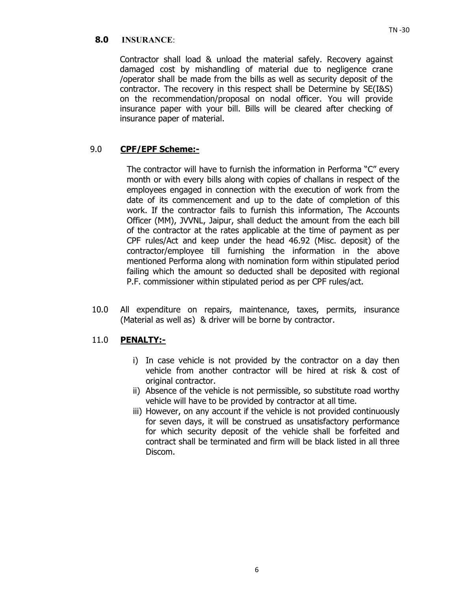Contractor shall load & unload the material safely. Recovery against damaged cost by mishandling of material due to negligence crane /operator shall be made from the bills as well as security deposit of the contractor. The recovery in this respect shall be Determine by SE(I&S) on the recommendation/proposal on nodal officer. You will provide insurance paper with your bill. Bills will be cleared after checking of insurance paper of material.

## 9.0 **CPF/EPF Scheme:-**

The contractor will have to furnish the information in Performa "C" every month or with every bills along with copies of challans in respect of the employees engaged in connection with the execution of work from the date of its commencement and up to the date of completion of this work. If the contractor fails to furnish this information, The Accounts Officer (MM), JVVNL, Jaipur, shall deduct the amount from the each bill of the contractor at the rates applicable at the time of payment as per CPF rules/Act and keep under the head 46.92 (Misc. deposit) of the contractor/employee till furnishing the information in the above mentioned Performa along with nomination form within stipulated period failing which the amount so deducted shall be deposited with regional P.F. commissioner within stipulated period as per CPF rules/act.

10.0 All expenditure on repairs, maintenance, taxes, permits, insurance (Material as well as) & driver will be borne by contractor.

## 11.0 **PENALTY:-**

- i) In case vehicle is not provided by the contractor on a day then vehicle from another contractor will be hired at risk & cost of original contractor.
- ii) Absence of the vehicle is not permissible, so substitute road worthy vehicle will have to be provided by contractor at all time.
- iii) However, on any account if the vehicle is not provided continuously for seven days, it will be construed as unsatisfactory performance for which security deposit of the vehicle shall be forfeited and contract shall be terminated and firm will be black listed in all three Discom.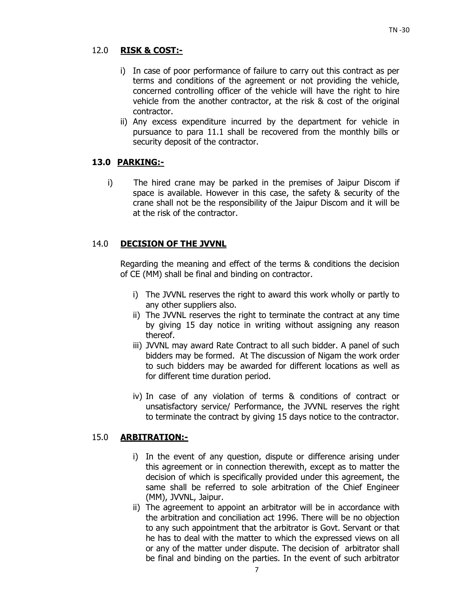## 12.0 **RISK & COST:-**

- i) In case of poor performance of failure to carry out this contract as per terms and conditions of the agreement or not providing the vehicle, concerned controlling officer of the vehicle will have the right to hire vehicle from the another contractor, at the risk & cost of the original contractor.
- ii) Any excess expenditure incurred by the department for vehicle in pursuance to para 11.1 shall be recovered from the monthly bills or security deposit of the contractor.

## **13.0 PARKING:-**

i) The hired crane may be parked in the premises of Jaipur Discom if space is available. However in this case, the safety & security of the crane shall not be the responsibility of the Jaipur Discom and it will be at the risk of the contractor.

## 14.0 **DECISION OF THE JVVNL**

Regarding the meaning and effect of the terms & conditions the decision of CE (MM) shall be final and binding on contractor.

- i) The JVVNL reserves the right to award this work wholly or partly to any other suppliers also.
- ii) The JVVNL reserves the right to terminate the contract at any time by giving 15 day notice in writing without assigning any reason thereof.
- iii) JVVNL may award Rate Contract to all such bidder. A panel of such bidders may be formed. At The discussion of Nigam the work order to such bidders may be awarded for different locations as well as for different time duration period.
- iv) In case of any violation of terms & conditions of contract or unsatisfactory service/ Performance, the JVVNL reserves the right to terminate the contract by giving 15 days notice to the contractor.

## 15.0 **ARBITRATION:-**

- i) In the event of any question, dispute or difference arising under this agreement or in connection therewith, except as to matter the decision of which is specifically provided under this agreement, the same shall be referred to sole arbitration of the Chief Engineer (MM), JVVNL, Jaipur.
- ii) The agreement to appoint an arbitrator will be in accordance with the arbitration and conciliation act 1996. There will be no objection to any such appointment that the arbitrator is Govt. Servant or that he has to deal with the matter to which the expressed views on all or any of the matter under dispute. The decision of arbitrator shall be final and binding on the parties. In the event of such arbitrator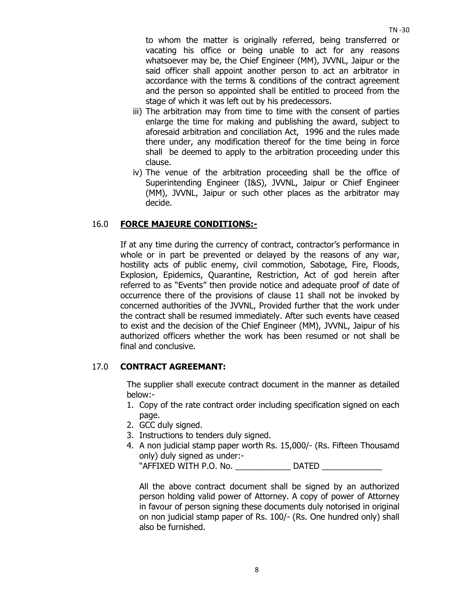$T<sub>N</sub>$  -30

to whom the matter is originally referred, being transferred or vacating his office or being unable to act for any reasons whatsoever may be, the Chief Engineer (MM), JVVNL, Jaipur or the said officer shall appoint another person to act an arbitrator in accordance with the terms & conditions of the contract agreement and the person so appointed shall be entitled to proceed from the stage of which it was left out by his predecessors.

- iii) The arbitration may from time to time with the consent of parties enlarge the time for making and publishing the award, subject to aforesaid arbitration and conciliation Act, 1996 and the rules made there under, any modification thereof for the time being in force shall be deemed to apply to the arbitration proceeding under this clause.
- iv) The venue of the arbitration proceeding shall be the office of Superintending Engineer (I&S), JVVNL, Jaipur or Chief Engineer (MM), JVVNL, Jaipur or such other places as the arbitrator may decide.

## 16.0 **FORCE MAJEURE CONDITIONS:-**

 If at any time during the currency of contract, contractor's performance in whole or in part be prevented or delayed by the reasons of any war, hostility acts of public enemy, civil commotion, Sabotage, Fire, Floods, Explosion, Epidemics, Quarantine, Restriction, Act of god herein after referred to as "Events" then provide notice and adequate proof of date of occurrence there of the provisions of clause 11 shall not be invoked by concerned authorities of the JVVNL, Provided further that the work under the contract shall be resumed immediately. After such events have ceased to exist and the decision of the Chief Engineer (MM), JVVNL, Jaipur of his authorized officers whether the work has been resumed or not shall be final and conclusive.

### 17.0 **CONTRACT AGREEMANT:**

The supplier shall execute contract document in the manner as detailed below:-

- 1. Copy of the rate contract order including specification signed on each page.
- 2. GCC duly signed.
- 3. Instructions to tenders duly signed.
- 4. A non judicial stamp paper worth Rs. 15,000/- (Rs. Fifteen Thousamd only) duly signed as under:-

"AFFIXED WITH P.O. No. \_\_\_\_\_\_\_\_\_\_\_\_ DATED \_\_\_\_\_\_\_\_\_\_\_\_\_

All the above contract document shall be signed by an authorized person holding valid power of Attorney. A copy of power of Attorney in favour of person signing these documents duly notorised in original on non judicial stamp paper of Rs. 100/- (Rs. One hundred only) shall also be furnished.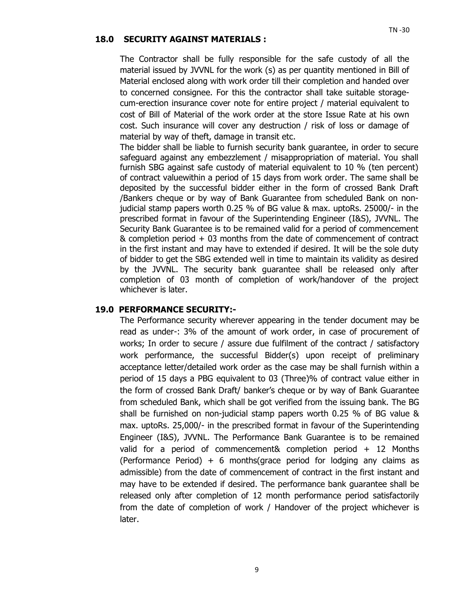#### **18.0 SECURITY AGAINST MATERIALS :**

The Contractor shall be fully responsible for the safe custody of all the material issued by JVVNL for the work (s) as per quantity mentioned in Bill of Material enclosed along with work order till their completion and handed over to concerned consignee. For this the contractor shall take suitable storagecum-erection insurance cover note for entire project / material equivalent to cost of Bill of Material of the work order at the store Issue Rate at his own cost. Such insurance will cover any destruction / risk of loss or damage of material by way of theft, damage in transit etc.

The bidder shall be liable to furnish security bank guarantee, in order to secure safeguard against any embezzlement / misappropriation of material. You shall furnish SBG against safe custody of material equivalent to 10 % (ten percent) of contract valuewithin a period of 15 days from work order. The same shall be deposited by the successful bidder either in the form of crossed Bank Draft /Bankers cheque or by way of Bank Guarantee from scheduled Bank on nonjudicial stamp papers worth 0.25 % of BG value & max. uptoRs. 25000/- in the prescribed format in favour of the Superintending Engineer (I&S), JVVNL. The Security Bank Guarantee is to be remained valid for a period of commencement & completion period + 03 months from the date of commencement of contract in the first instant and may have to extended if desired. It will be the sole duty of bidder to get the SBG extended well in time to maintain its validity as desired by the JVVNL. The security bank guarantee shall be released only after completion of 03 month of completion of work/handover of the project whichever is later.

#### **19.0 PERFORMANCE SECURITY:-**

The Performance security wherever appearing in the tender document may be read as under-: 3% of the amount of work order, in case of procurement of works; In order to secure / assure due fulfilment of the contract / satisfactory work performance, the successful Bidder(s) upon receipt of preliminary acceptance letter/detailed work order as the case may be shall furnish within a period of 15 days a PBG equivalent to 03 (Three)% of contract value either in the form of crossed Bank Draft/ banker's cheque or by way of Bank Guarantee from scheduled Bank, which shall be got verified from the issuing bank. The BG shall be furnished on non-judicial stamp papers worth 0.25 % of BG value & max. uptoRs. 25,000/- in the prescribed format in favour of the Superintending Engineer (I&S), JVVNL. The Performance Bank Guarantee is to be remained valid for a period of commencement& completion period + 12 Months (Performance Period) + 6 months(grace period for lodging any claims as admissible) from the date of commencement of contract in the first instant and may have to be extended if desired. The performance bank guarantee shall be released only after completion of 12 month performance period satisfactorily from the date of completion of work / Handover of the project whichever is later.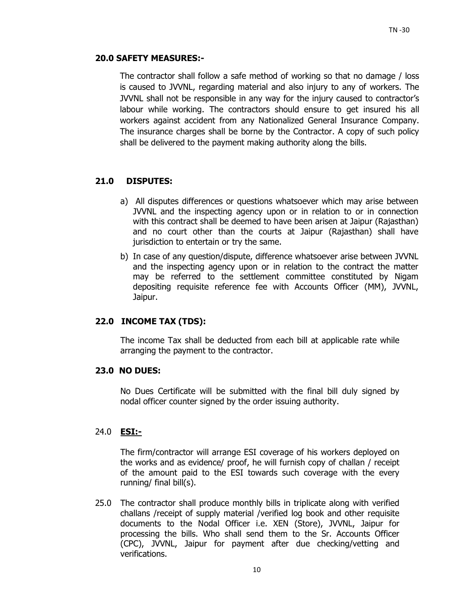### **20.0 SAFETY MEASURES:-**

The contractor shall follow a safe method of working so that no damage / loss is caused to JVVNL, regarding material and also injury to any of workers. The JVVNL shall not be responsible in any way for the injury caused to contractor's labour while working. The contractors should ensure to get insured his all workers against accident from any Nationalized General Insurance Company. The insurance charges shall be borne by the Contractor. A copy of such policy shall be delivered to the payment making authority along the bills.

## **21.0 DISPUTES:**

- a) All disputes differences or questions whatsoever which may arise between JVVNL and the inspecting agency upon or in relation to or in connection with this contract shall be deemed to have been arisen at Jaipur (Rajasthan) and no court other than the courts at Jaipur (Rajasthan) shall have jurisdiction to entertain or try the same.
- b) In case of any question/dispute, difference whatsoever arise between JVVNL and the inspecting agency upon or in relation to the contract the matter may be referred to the settlement committee constituted by Nigam depositing requisite reference fee with Accounts Officer (MM), JVVNL, Jaipur.

### **22.0 INCOME TAX (TDS):**

The income Tax shall be deducted from each bill at applicable rate while arranging the payment to the contractor.

### **23.0 NO DUES:**

No Dues Certificate will be submitted with the final bill duly signed by nodal officer counter signed by the order issuing authority.

### 24.0 **ESI:-**

The firm/contractor will arrange ESI coverage of his workers deployed on the works and as evidence/ proof, he will furnish copy of challan / receipt of the amount paid to the ESI towards such coverage with the every running/ final bill(s).

25.0 The contractor shall produce monthly bills in triplicate along with verified challans /receipt of supply material /verified log book and other requisite documents to the Nodal Officer i.e. XEN (Store), JVVNL, Jaipur for processing the bills. Who shall send them to the Sr. Accounts Officer (CPC), JVVNL, Jaipur for payment after due checking/vetting and verifications.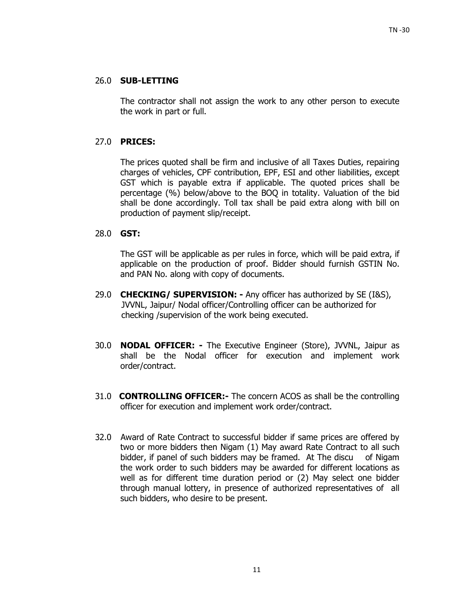### 26.0 **SUB-LETTING**

 The contractor shall not assign the work to any other person to execute the work in part or full.

### 27.0 **PRICES:**

 The prices quoted shall be firm and inclusive of all Taxes Duties, repairing charges of vehicles, CPF contribution, EPF, ESI and other liabilities, except GST which is payable extra if applicable. The quoted prices shall be percentage (%) below/above to the BOQ in totality. Valuation of the bid shall be done accordingly. Toll tax shall be paid extra along with bill on production of payment slip/receipt.

### 28.0 **GST:**

The GST will be applicable as per rules in force, which will be paid extra, if applicable on the production of proof. Bidder should furnish GSTIN No. and PAN No. along with copy of documents.

- 29.0 **CHECKING/ SUPERVISION:** Any officer has authorized by SE (I&S), JVVNL, Jaipur/ Nodal officer/Controlling officer can be authorized for checking /supervision of the work being executed.
- 30.0 **NODAL OFFICER:** The Executive Engineer (Store), JVVNL, Jaipur as shall be the Nodal officer for execution and implement work order/contract.
- 31.0 **CONTROLLING OFFICER:-** The concern ACOS as shall be the controlling officer for execution and implement work order/contract.
- 32.0Award of Rate Contract to successful bidder if same prices are offered by two or more bidders then Nigam (1) May award Rate Contract to all such bidder, if panel of such bidders may be framed. At The discu of Nigam the work order to such bidders may be awarded for different locations as well as for different time duration period or (2) May select one bidder through manual lottery, in presence of authorized representatives of all such bidders, who desire to be present.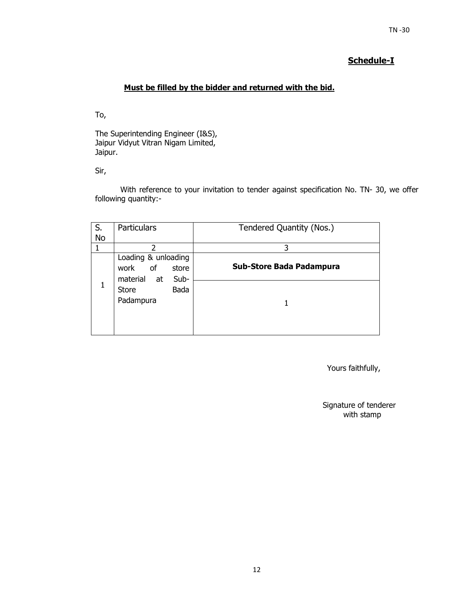#### $T<sub>N</sub>$  -30

## **Schedule-I**

## **Must be filled by the bidder and returned with the bid.**

To,

The Superintending Engineer (I&S), Jaipur Vidyut Vitran Nigam Limited, Jaipur.

Sir,

With reference to your invitation to tender against specification No. TN- 30, we offer following quantity:-

| S.        | <b>Particulars</b>                                                   | Tendered Quantity (Nos.)        |
|-----------|----------------------------------------------------------------------|---------------------------------|
| <b>No</b> |                                                                      |                                 |
|           | 2                                                                    | 3                               |
|           | Loading & unloading<br>of<br>work<br>store<br>material<br>Sub-<br>at | <b>Sub-Store Bada Padampura</b> |
|           | Bada<br>Store<br>Padampura                                           |                                 |

Yours faithfully,

Signature of tenderer with stamp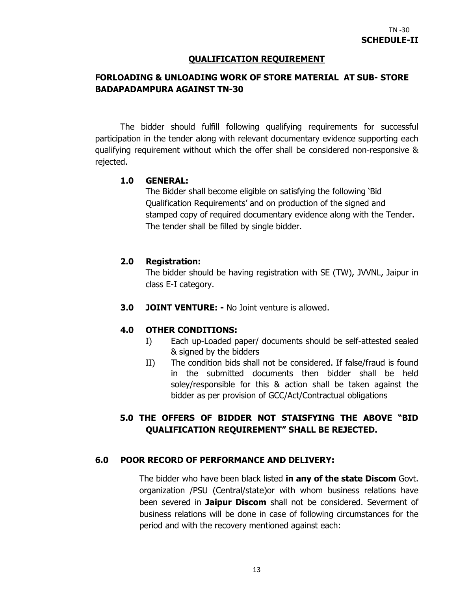### **QUALIFICATION REQUIREMENT**

## **FORLOADING & UNLOADING WORK OF STORE MATERIAL AT SUB- STORE BADAPADAMPURA AGAINST TN-30**

The bidder should fulfill following qualifying requirements for successful participation in the tender along with relevant documentary evidence supporting each qualifying requirement without which the offer shall be considered non-responsive & rejected.

### **1.0 GENERAL:**

The Bidder shall become eligible on satisfying the following 'Bid Qualification Requirements' and on production of the signed and stamped copy of required documentary evidence along with the Tender. The tender shall be filled by single bidder.

### **2.0 Registration:**

The bidder should be having registration with SE (TW), JVVNL, Jaipur in class E-I category.

**3.0 JOINT VENTURE: -** No Joint venture is allowed.

## **4.0 OTHER CONDITIONS:**

- I) Each up-Loaded paper/ documents should be self-attested sealed & signed by the bidders
- II) The condition bids shall not be considered. If false/fraud is found in the submitted documents then bidder shall be held soley/responsible for this & action shall be taken against the bidder as per provision of GCC/Act/Contractual obligations

## **5.0 THE OFFERS OF BIDDER NOT STAISFYING THE ABOVE "BID QUALIFICATION REQUIREMENT" SHALL BE REJECTED.**

### **6.0 POOR RECORD OF PERFORMANCE AND DELIVERY:**

The bidder who have been black listed **in any of the state Discom** Govt. organization /PSU (Central/state)or with whom business relations have been severed in **Jaipur Discom** shall not be considered. Severment of business relations will be done in case of following circumstances for the period and with the recovery mentioned against each: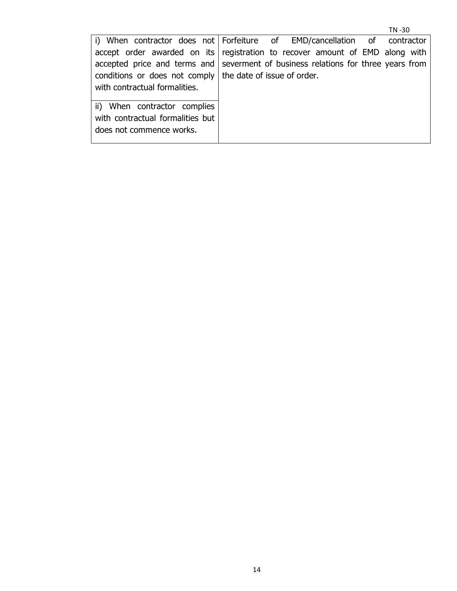|                                                                                   |  |  |  |  |  | TN-30 |  |
|-----------------------------------------------------------------------------------|--|--|--|--|--|-------|--|
| i) When contractor does not Forfeiture of EMD/cancellation of contractor          |  |  |  |  |  |       |  |
| accept order awarded on its registration to recover amount of EMD along with      |  |  |  |  |  |       |  |
| accepted price and terms and severment of business relations for three years from |  |  |  |  |  |       |  |
| conditions or does not comply   the date of issue of order.                       |  |  |  |  |  |       |  |
| with contractual formalities.                                                     |  |  |  |  |  |       |  |
|                                                                                   |  |  |  |  |  |       |  |
| ii) When contractor complies                                                      |  |  |  |  |  |       |  |
| with contractual formalities but                                                  |  |  |  |  |  |       |  |
| does not commence works.                                                          |  |  |  |  |  |       |  |
|                                                                                   |  |  |  |  |  |       |  |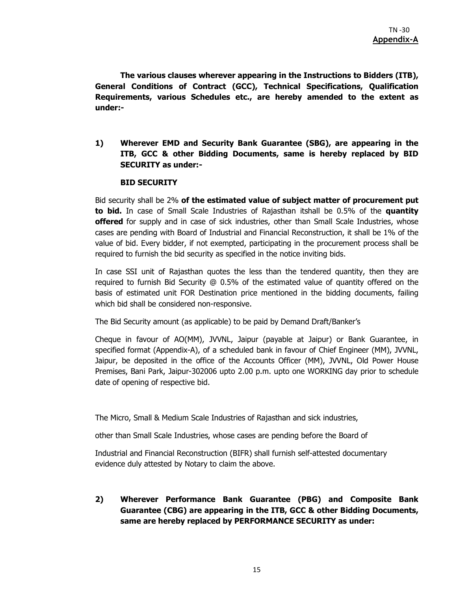**The various clauses wherever appearing in the Instructions to Bidders (ITB), General Conditions of Contract (GCC), Technical Specifications, Qualification Requirements, various Schedules etc., are hereby amended to the extent as under:-** 

**1) Wherever EMD and Security Bank Guarantee (SBG), are appearing in the ITB, GCC & other Bidding Documents, same is hereby replaced by BID SECURITY as under:-** 

#### **BID SECURITY**

Bid security shall be 2% **of the estimated value of subject matter of procurement put to bid.** In case of Small Scale Industries of Rajasthan itshall be 0.5% of the **quantity offered** for supply and in case of sick industries, other than Small Scale Industries, whose cases are pending with Board of Industrial and Financial Reconstruction, it shall be 1% of the value of bid. Every bidder, if not exempted, participating in the procurement process shall be required to furnish the bid security as specified in the notice inviting bids.

In case SSI unit of Rajasthan quotes the less than the tendered quantity, then they are required to furnish Bid Security @ 0.5% of the estimated value of quantity offered on the basis of estimated unit FOR Destination price mentioned in the bidding documents, failing which bid shall be considered non-responsive.

The Bid Security amount (as applicable) to be paid by Demand Draft/Banker's

Cheque in favour of AO(MM), JVVNL, Jaipur (payable at Jaipur) or Bank Guarantee, in specified format (Appendix-A), of a scheduled bank in favour of Chief Engineer (MM), JVVNL, Jaipur, be deposited in the office of the Accounts Officer (MM), JVVNL, Old Power House Premises, Bani Park, Jaipur-302006 upto 2.00 p.m. upto one WORKING day prior to schedule date of opening of respective bid.

The Micro, Small & Medium Scale Industries of Rajasthan and sick industries,

other than Small Scale Industries, whose cases are pending before the Board of

Industrial and Financial Reconstruction (BIFR) shall furnish self-attested documentary evidence duly attested by Notary to claim the above.

**2) Wherever Performance Bank Guarantee (PBG) and Composite Bank Guarantee (CBG) are appearing in the ITB, GCC & other Bidding Documents, same are hereby replaced by PERFORMANCE SECURITY as under:**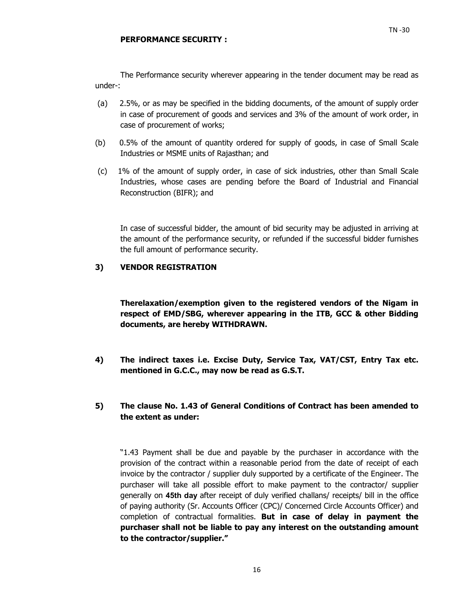- (a) 2.5%, or as may be specified in the bidding documents, of the amount of supply order in case of procurement of goods and services and 3% of the amount of work order, in case of procurement of works;
- (b) 0.5% of the amount of quantity ordered for supply of goods, in case of Small Scale Industries or MSME units of Rajasthan; and
- (c) 1% of the amount of supply order, in case of sick industries, other than Small Scale Industries, whose cases are pending before the Board of Industrial and Financial Reconstruction (BIFR); and

In case of successful bidder, the amount of bid security may be adjusted in arriving at the amount of the performance security, or refunded if the successful bidder furnishes the full amount of performance security.

### **3) VENDOR REGISTRATION**

**Therelaxation/exemption given to the registered vendors of the Nigam in respect of EMD/SBG, wherever appearing in the ITB, GCC & other Bidding documents, are hereby WITHDRAWN.** 

- **4) The indirect taxes i.e. Excise Duty, Service Tax, VAT/CST, Entry Tax etc. mentioned in G.C.C., may now be read as G.S.T.**
- **5) The clause No. 1.43 of General Conditions of Contract has been amended to the extent as under:**

"1.43 Payment shall be due and payable by the purchaser in accordance with the provision of the contract within a reasonable period from the date of receipt of each invoice by the contractor / supplier duly supported by a certificate of the Engineer. The purchaser will take all possible effort to make payment to the contractor/ supplier generally on **45th day** after receipt of duly verified challans/ receipts/ bill in the office of paying authority (Sr. Accounts Officer (CPC)/ Concerned Circle Accounts Officer) and completion of contractual formalities. **But in case of delay in payment the purchaser shall not be liable to pay any interest on the outstanding amount to the contractor/supplier."**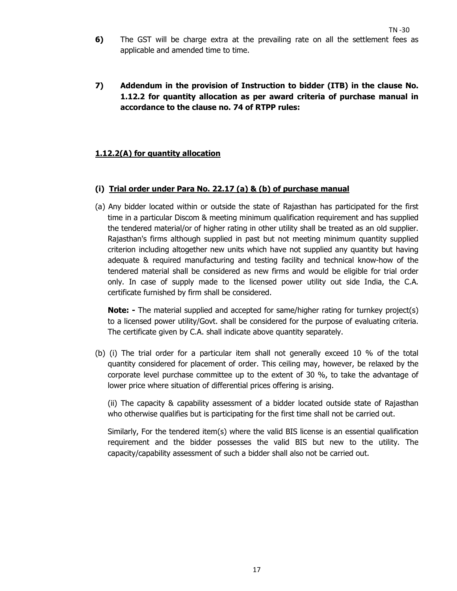- **6)** The GST will be charge extra at the prevailing rate on all the settlement fees as applicable and amended time to time.
- **7) Addendum in the provision of Instruction to bidder (ITB) in the clause No. 1.12.2 for quantity allocation as per award criteria of purchase manual in accordance to the clause no. 74 of RTPP rules:**

### **1.12.2(A) for quantity allocation**

### **(i) Trial order under Para No. 22.17 (a) & (b) of purchase manual**

(a) Any bidder located within or outside the state of Rajasthan has participated for the first time in a particular Discom & meeting minimum qualification requirement and has supplied the tendered material/or of higher rating in other utility shall be treated as an old supplier. Rajasthan's firms although supplied in past but not meeting minimum quantity supplied criterion including altogether new units which have not supplied any quantity but having adequate & required manufacturing and testing facility and technical know-how of the tendered material shall be considered as new firms and would be eligible for trial order only. In case of supply made to the licensed power utility out side India, the C.A. certificate furnished by firm shall be considered.

**Note:** - The material supplied and accepted for same/higher rating for turnkey project(s) to a licensed power utility/Govt. shall be considered for the purpose of evaluating criteria. The certificate given by C.A. shall indicate above quantity separately.

(b) (i) The trial order for a particular item shall not generally exceed 10 % of the total quantity considered for placement of order. This ceiling may, however, be relaxed by the corporate level purchase committee up to the extent of 30 %, to take the advantage of lower price where situation of differential prices offering is arising.

(ii) The capacity & capability assessment of a bidder located outside state of Rajasthan who otherwise qualifies but is participating for the first time shall not be carried out.

Similarly, For the tendered item(s) where the valid BIS license is an essential qualification requirement and the bidder possesses the valid BIS but new to the utility. The capacity/capability assessment of such a bidder shall also not be carried out.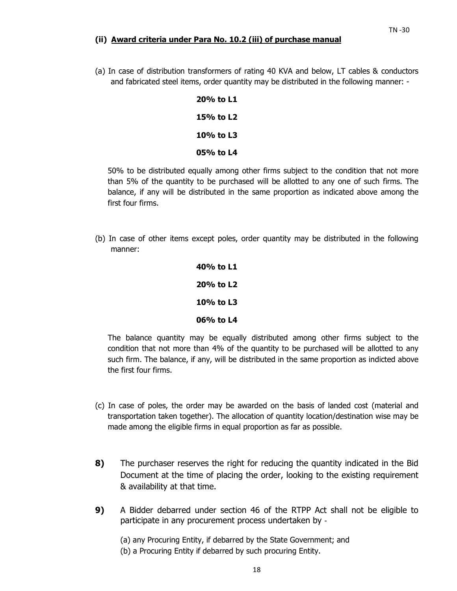#### **(ii) Award criteria under Para No. 10.2 (iii) of purchase manual**

(a) In case of distribution transformers of rating 40 KVA and below, LT cables & conductors and fabricated steel items, order quantity may be distributed in the following manner: -

| 20% to L1 |  |
|-----------|--|
| 15% to L2 |  |
| 10% to L3 |  |
| 05% to L4 |  |

50% to be distributed equally among other firms subject to the condition that not more than 5% of the quantity to be purchased will be allotted to any one of such firms. The balance, if any will be distributed in the same proportion as indicated above among the first four firms.

(b) In case of other items except poles, order quantity may be distributed in the following manner:

> **40% to L1 20% to L2 10% to L3 06% to L4**

The balance quantity may be equally distributed among other firms subject to the condition that not more than 4% of the quantity to be purchased will be allotted to any such firm. The balance, if any, will be distributed in the same proportion as indicted above the first four firms.

- (c) In case of poles, the order may be awarded on the basis of landed cost (material and transportation taken together). The allocation of quantity location/destination wise may be made among the eligible firms in equal proportion as far as possible.
- **8)** The purchaser reserves the right for reducing the quantity indicated in the Bid Document at the time of placing the order, looking to the existing requirement & availability at that time.
- **9)** A Bidder debarred under section 46 of the RTPP Act shall not be eligible to participate in any procurement process undertaken by ‐

(a) any Procuring Entity, if debarred by the State Government; and

(b) a Procuring Entity if debarred by such procuring Entity.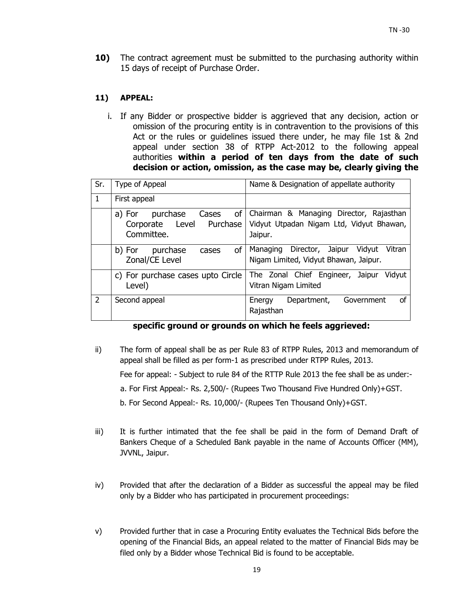**10)** The contract agreement must be submitted to the purchasing authority within 15 days of receipt of Purchase Order.

### **11) APPEAL:**

i. If any Bidder or prospective bidder is aggrieved that any decision, action or omission of the procuring entity is in contravention to the provisions of this Act or the rules or guidelines issued there under, he may file 1st & 2nd appeal under section 38 of RTPP Act-2012 to the following appeal authorities **within a period of ten days from the date of such decision or action, omission, as the case may be, clearly giving the** 

| Sr.           | Type of Appeal                                                              | Name & Designation of appellate authority                                                      |
|---------------|-----------------------------------------------------------------------------|------------------------------------------------------------------------------------------------|
| $\mathbf{1}$  | First appeal                                                                |                                                                                                |
|               | of<br>purchase<br>Cases<br>a) For<br>Corporate Level Purchase<br>Committee. | Chairman & Managing Director, Rajasthan<br>Vidyut Utpadan Nigam Ltd, Vidyut Bhawan,<br>Jaipur. |
|               | of<br>purchase<br>b) For<br>cases<br>Zonal/CE Level                         | Director, Jaipur<br>Vidvut<br>Vitran<br>Managing<br>Nigam Limited, Vidyut Bhawan, Jaipur.      |
|               | c) For purchase cases upto Circle<br>Level)                                 | The Zonal Chief Engineer, Jaipur Vidyut<br>Vitran Nigam Limited                                |
| $\mathcal{P}$ | Second appeal                                                               | Government<br>Department,<br>οf<br>Energy<br>Rajasthan                                         |

## **specific ground or grounds on which he feels aggrieved:**

ii) The form of appeal shall be as per Rule 83 of RTPP Rules, 2013 and memorandum of appeal shall be filled as per form-1 as prescribed under RTPP Rules, 2013.

Fee for appeal: - Subject to rule 84 of the RTTP Rule 2013 the fee shall be as under:-

a. For First Appeal:- Rs. 2,500/- (Rupees Two Thousand Five Hundred Only)+GST.

b. For Second Appeal:- Rs. 10,000/- (Rupees Ten Thousand Only)+GST.

- iii) It is further intimated that the fee shall be paid in the form of Demand Draft of Bankers Cheque of a Scheduled Bank payable in the name of Accounts Officer (MM), JVVNL, Jaipur.
- iv) Provided that after the declaration of a Bidder as successful the appeal may be filed only by a Bidder who has participated in procurement proceedings:
- v) Provided further that in case a Procuring Entity evaluates the Technical Bids before the opening of the Financial Bids, an appeal related to the matter of Financial Bids may be filed only by a Bidder whose Technical Bid is found to be acceptable.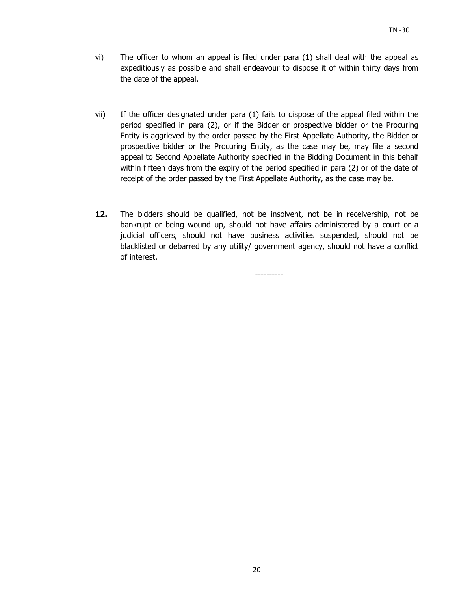- vi) The officer to whom an appeal is filed under para (1) shall deal with the appeal as expeditiously as possible and shall endeavour to dispose it of within thirty days from the date of the appeal.
- vii) If the officer designated under para (1) fails to dispose of the appeal filed within the period specified in para (2), or if the Bidder or prospective bidder or the Procuring Entity is aggrieved by the order passed by the First Appellate Authority, the Bidder or prospective bidder or the Procuring Entity, as the case may be, may file a second appeal to Second Appellate Authority specified in the Bidding Document in this behalf within fifteen days from the expiry of the period specified in para (2) or of the date of receipt of the order passed by the First Appellate Authority, as the case may be.
- **12.** The bidders should be qualified, not be insolvent, not be in receivership, not be bankrupt or being wound up, should not have affairs administered by a court or a judicial officers, should not have business activities suspended, should not be blacklisted or debarred by any utility/ government agency, should not have a conflict of interest.

----------

20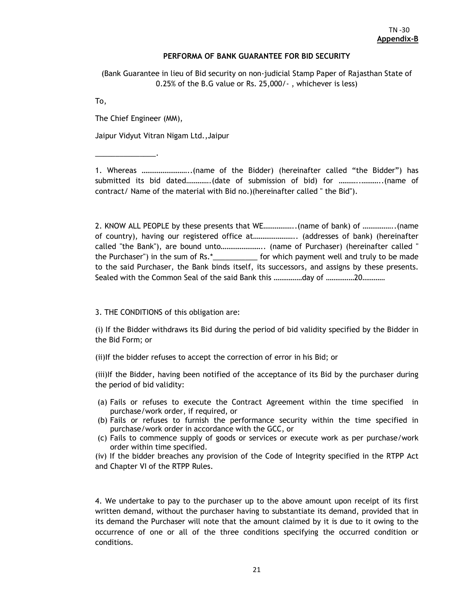#### **PERFORMA OF BANK GUARANTEE FOR BID SECURITY**

(Bank Guarantee in lieu of Bid security on non-judicial Stamp Paper of Rajasthan State of 0.25% of the B.G value or Rs. 25,000/- , whichever is less)

To,

The Chief Engineer (MM),

\_\_\_\_\_\_\_\_\_\_\_\_\_\_\_.

Jaipur Vidyut Vitran Nigam Ltd.,Jaipur

1. Whereas ……………………..(name of the Bidder) (hereinafter called "the Bidder") has submitted its bid dated………….(date of submission of bid) for ………..………..(name of contract/ Name of the material with Bid no.)(hereinafter called " the Bid").

2. KNOW ALL PEOPLE by these presents that WE……………..(name of bank) of ……………..(name of country), having our registered office at………………….. (addresses of bank) (hereinafter called "the Bank"), are bound unto………………….. (name of Purchaser) (hereinafter called " the Purchaser") in the sum of Rs.\*\_\_\_\_\_\_\_\_\_\_\_ for which payment well and truly to be made to the said Purchaser, the Bank binds itself, its successors, and assigns by these presents. Sealed with the Common Seal of the said Bank this ……………day of ……………20…………

3. THE CONDITIONS of this obligation are:

(i) If the Bidder withdraws its Bid during the period of bid validity specified by the Bidder in the Bid Form; or

(ii)If the bidder refuses to accept the correction of error in his Bid; or

(iii)If the Bidder, having been notified of the acceptance of its Bid by the purchaser during the period of bid validity:

- (a) Fails or refuses to execute the Contract Agreement within the time specified in purchase/work order, if required, or
- (b) Fails or refuses to furnish the performance security within the time specified in purchase/work order in accordance with the GCC, or
- (c) Fails to commence supply of goods or services or execute work as per purchase/work order within time specified.

(iv) If the bidder breaches any provision of the Code of Integrity specified in the RTPP Act and Chapter VI of the RTPP Rules.

4. We undertake to pay to the purchaser up to the above amount upon receipt of its first written demand, without the purchaser having to substantiate its demand, provided that in its demand the Purchaser will note that the amount claimed by it is due to it owing to the occurrence of one or all of the three conditions specifying the occurred condition or conditions.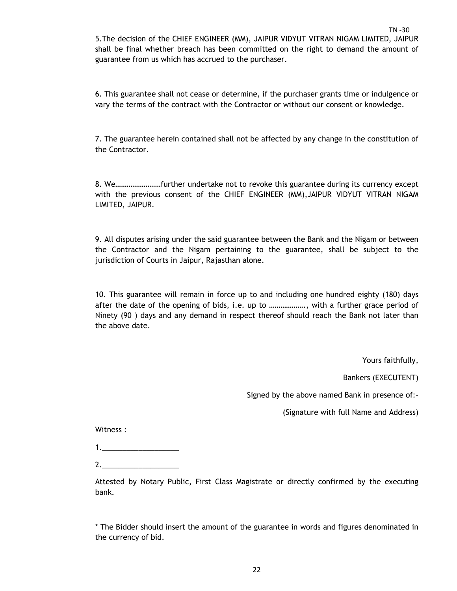$T<sub>N</sub>$  -30 5.The decision of the CHIEF ENGINEER (MM), JAIPUR VIDYUT VITRAN NIGAM LIMITED, JAIPUR shall be final whether breach has been committed on the right to demand the amount of guarantee from us which has accrued to the purchaser.

6. This guarantee shall not cease or determine, if the purchaser grants time or indulgence or vary the terms of the contract with the Contractor or without our consent or knowledge.

7. The guarantee herein contained shall not be affected by any change in the constitution of the Contractor.

8. We……………………further undertake not to revoke this guarantee during its currency except with the previous consent of the CHIEF ENGINEER (MM),JAIPUR VIDYUT VITRAN NIGAM LIMITED, JAIPUR.

9. All disputes arising under the said guarantee between the Bank and the Nigam or between the Contractor and the Nigam pertaining to the guarantee, shall be subject to the jurisdiction of Courts in Jaipur, Rajasthan alone.

10. This guarantee will remain in force up to and including one hundred eighty (180) days after the date of the opening of bids, i.e. up to ………………., with a further grace period of Ninety (90 ) days and any demand in respect thereof should reach the Bank not later than the above date.

Yours faithfully,

Bankers (EXECUTENT)

Signed by the above named Bank in presence of:-

(Signature with full Name and Address)

Witness :

1.\_\_\_\_\_\_\_\_\_\_\_\_\_\_\_\_\_\_\_

2.\_\_\_\_\_\_\_\_\_\_\_\_\_\_\_\_\_\_\_

Attested by Notary Public, First Class Magistrate or directly confirmed by the executing bank.

\* The Bidder should insert the amount of the guarantee in words and figures denominated in the currency of bid.

22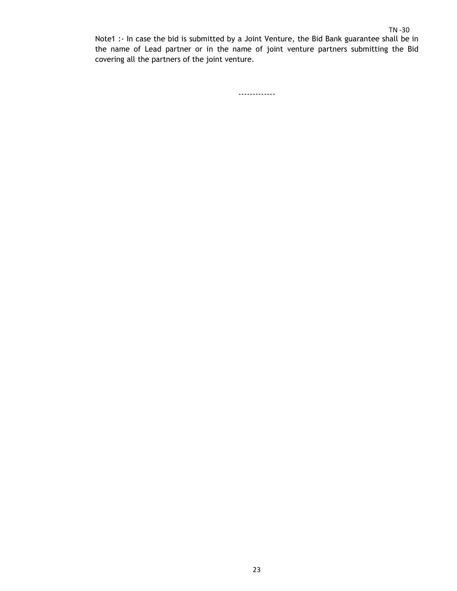Note1 :- In case the bid is submitted by a Joint Venture, the Bid Bank guarantee shall be in the name of Lead partner or in the name of joint venture partners submitting the Bid covering all the partners of the joint venture.

-------------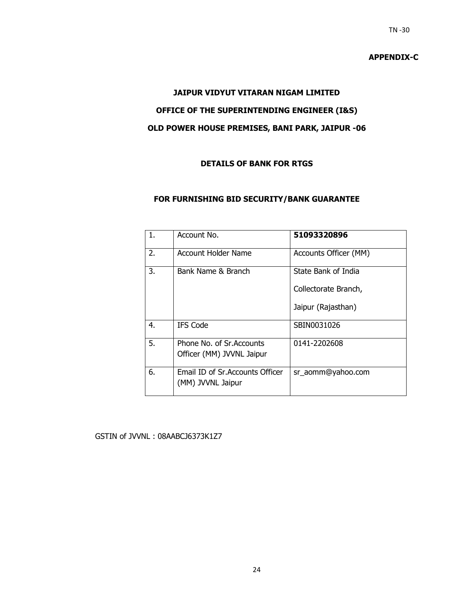**APPENDIX-C** 

#### **JAIPUR VIDYUT VITARAN NIGAM LIMITED**

## **OFFICE OF THE SUPERINTENDING ENGINEER (I&S)**

## **OLD POWER HOUSE PREMISES, BANI PARK, JAIPUR -06**

### **DETAILS OF BANK FOR RTGS**

#### **FOR FURNISHING BID SECURITY/BANK GUARANTEE**

| 1. | Account No.                                            | 51093320896           |
|----|--------------------------------------------------------|-----------------------|
| 2. | Account Holder Name                                    | Accounts Officer (MM) |
| 3. | Bank Name & Branch                                     | State Bank of India   |
|    |                                                        | Collectorate Branch,  |
|    |                                                        | Jaipur (Rajasthan)    |
| 4. | <b>IFS Code</b>                                        | SBIN0031026           |
| 5. | Phone No. of Sr. Accounts<br>Officer (MM) JVVNL Jaipur | 0141-2202608          |
| 6. | Email ID of Sr. Accounts Officer<br>(MM) JVVNL Jaipur  | sr_aomm@yahoo.com     |

#### GSTIN of JVVNL : 08AABCJ6373K1Z7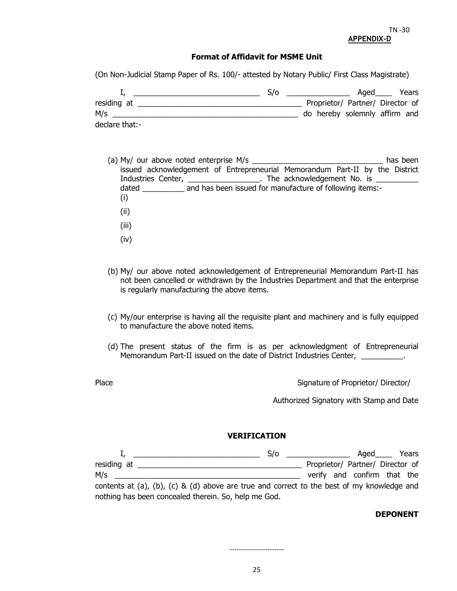#### **Format of Affidavit for MSME Unit**

(On Non-Judicial Stamp Paper of Rs. 100/- attested by Notary Public/ First Class Magistrate)

|                | S/O |                                  | Aged | Years |
|----------------|-----|----------------------------------|------|-------|
| residing at    |     | Proprietor/ Partner/ Director of |      |       |
| M/s            |     | do hereby solemnly affirm and    |      |       |
| declare that:- |     |                                  |      |       |

- (a) My/ our above noted enterprise M/s \_\_\_\_\_\_\_\_\_\_\_\_\_\_\_\_\_\_\_\_\_\_\_\_\_\_\_\_\_\_\_ has been issued acknowledgement of Entrepreneurial Memorandum Part-II by the District Industries Center, \_\_\_\_\_\_\_\_\_\_\_\_\_\_\_\_\_\_. The acknowledgement No. is \_\_\_\_\_\_\_\_\_\_\_\_\_\_ dated \_\_\_\_\_\_\_\_\_\_\_ and has been issued for manufacture of following items:-(i) (ii)
	- (iii)
	- (iv)
- (b) My/ our above noted acknowledgement of Entrepreneurial Memorandum Part-II has not been cancelled or withdrawn by the Industries Department and that the enterprise is regularly manufacturing the above items.
- (c) My/our enterprise is having all the requisite plant and machinery and is fully equipped to manufacture the above noted items.
- (d) The present status of the firm is as per acknowledgment of Entrepreneurial Memorandum Part-II issued on the date of District Industries Center, \_\_\_\_\_\_\_\_\_\_\_.

Place **Proprietor/** Director/ Director/ Director/ Director/ Director/ Director/ Director/ Director/ Director/ Director/ Director/ Director/ Director/ Director/ Director/ Director/ Director/ Director/ Director/ Director/ Di

Authorized Signatory with Stamp and Date

#### **VERIFICATION**

|                                                                                            |  |  | S/O |  | Aged                             | Years |
|--------------------------------------------------------------------------------------------|--|--|-----|--|----------------------------------|-------|
| residing at                                                                                |  |  |     |  | Proprietor/ Partner/ Director of |       |
| M/s                                                                                        |  |  |     |  | verify and confirm that the      |       |
| contents at (a), (b), (c) & (d) above are true and correct to the best of my knowledge and |  |  |     |  |                                  |       |

nothing has been concealed therein. So, help me God.

#### **DEPONENT**

-----------------------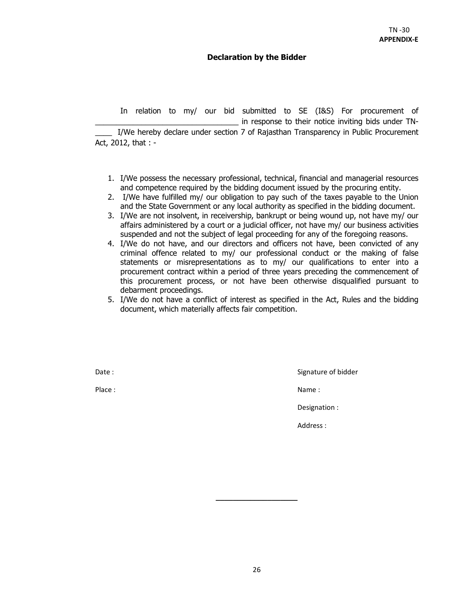#### **Declaration by the Bidder**

 In relation to my/ our bid submitted to SE (I&S) For procurement of in response to their notice inviting bids under TN-I/We hereby declare under section 7 of Rajasthan Transparency in Public Procurement Act, 2012, that : -

- 1. I/We possess the necessary professional, technical, financial and managerial resources and competence required by the bidding document issued by the procuring entity.
- 2. I/We have fulfilled my/ our obligation to pay such of the taxes payable to the Union and the State Government or any local authority as specified in the bidding document.
- 3. I/We are not insolvent, in receivership, bankrupt or being wound up, not have my/ our affairs administered by a court or a judicial officer, not have my/ our business activities suspended and not the subject of legal proceeding for any of the foregoing reasons.
- 4. I/We do not have, and our directors and officers not have, been convicted of any criminal offence related to my/ our professional conduct or the making of false statements or misrepresentations as to my/ our qualifications to enter into a procurement contract within a period of three years preceding the commencement of this procurement process, or not have been otherwise disqualified pursuant to debarment proceedings.
- 5. I/We do not have a conflict of interest as specified in the Act, Rules and the bidding document, which materially affects fair competition.

Date : Signature of bidder in the Signature of bidder in the Signature of bidder

Place : Name : Name : Name : Name : Name : Name : Name : Name : Name : Name : Name : Name : Name : Name :  $\mathbb{R}^2$ 

Designation :

Address :

**\_\_\_\_\_\_\_\_\_\_\_\_\_\_\_\_\_\_\_**